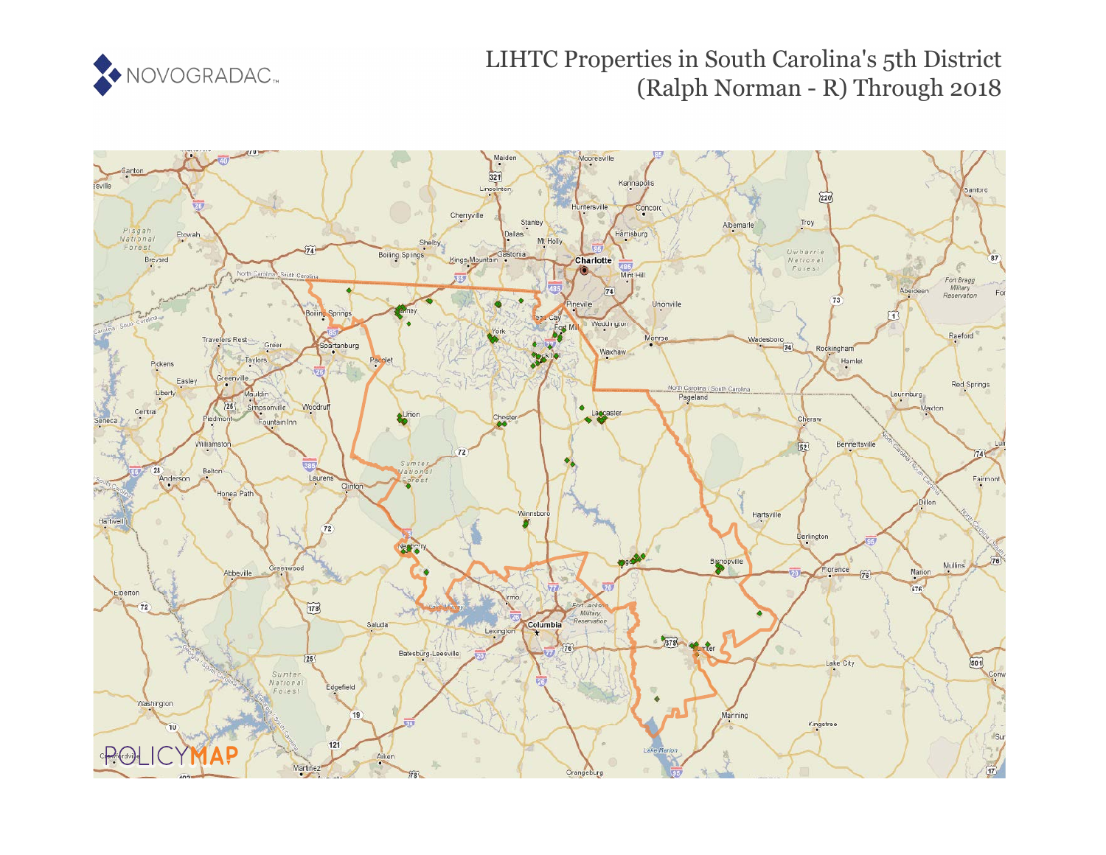

# LIHTC Properties in South Carolina's 5th District (Ralph Norman - R) Through 2018

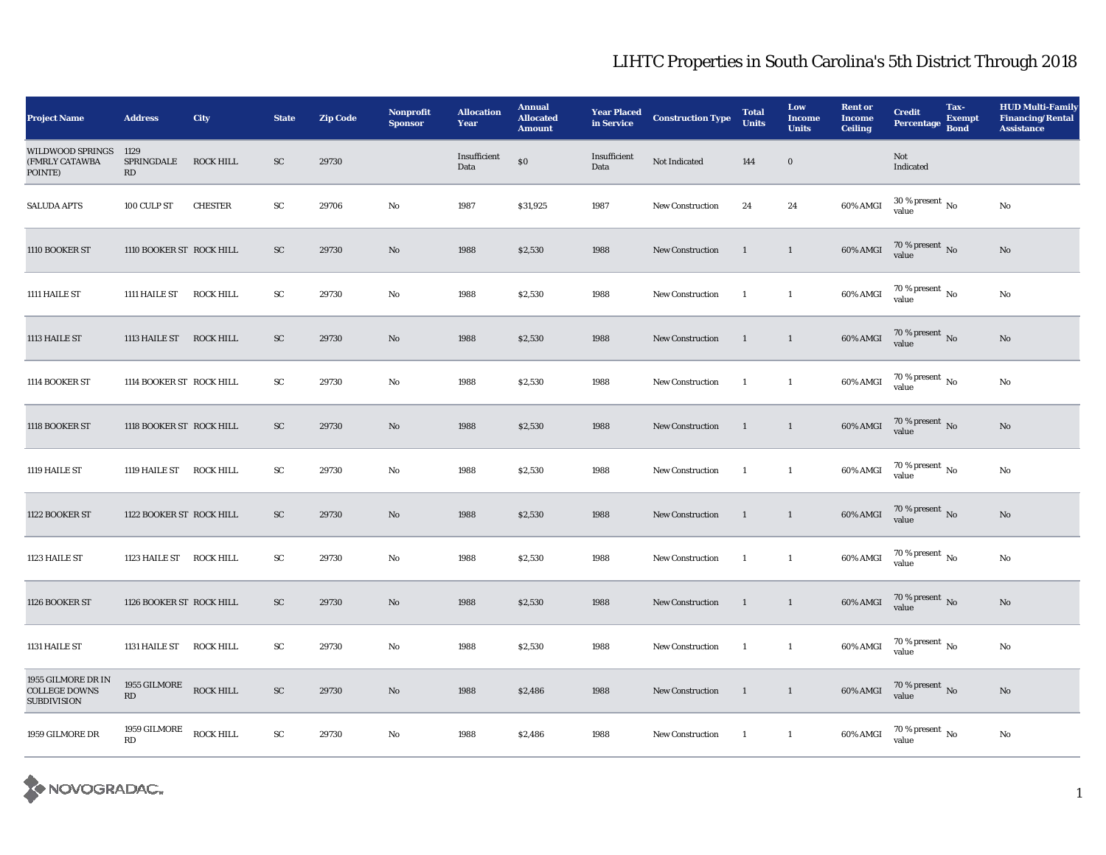| <b>Project Name</b>                                              | <b>Address</b>                                   | <b>City</b>      | <b>State</b> | <b>Zip Code</b> | <b>Nonprofit</b><br><b>Sponsor</b> | <b>Allocation</b><br>Year | <b>Annual</b><br><b>Allocated</b><br><b>Amount</b> | <b>Year Placed</b><br>in Service | <b>Construction Type</b> | <b>Total</b><br><b>Units</b> | Low<br><b>Income</b><br><b>Units</b> | <b>Rent or</b><br><b>Income</b><br><b>Ceiling</b> | <b>Credit</b><br><b>Percentage</b>   | Tax-<br><b>Exempt</b><br><b>Bond</b> | <b>HUD Multi-Family</b><br><b>Financing/Rental</b><br><b>Assistance</b> |
|------------------------------------------------------------------|--------------------------------------------------|------------------|--------------|-----------------|------------------------------------|---------------------------|----------------------------------------------------|----------------------------------|--------------------------|------------------------------|--------------------------------------|---------------------------------------------------|--------------------------------------|--------------------------------------|-------------------------------------------------------------------------|
| <b>WILDWOOD SPRINGS</b><br>(FMRLY CATAWBA<br>POINTE)             | 1129<br>SPRINGDALE<br>RD                         | <b>ROCK HILL</b> | <b>SC</b>    | 29730           |                                    | Insufficient<br>Data      | \$0                                                | Insufficient<br>Data             | Not Indicated            | 144                          | $\bf{0}$                             |                                                   | Not<br>Indicated                     |                                      |                                                                         |
| <b>SALUDA APTS</b>                                               | 100 CULP ST                                      | <b>CHESTER</b>   | ${\rm SC}$   | 29706           | No                                 | 1987                      | \$31,925                                           | 1987                             | <b>New Construction</b>  | 24                           | 24                                   | 60% AMGI                                          | $30$ % present $\,$ No $\,$<br>value |                                      | $\rm No$                                                                |
| 1110 BOOKER ST                                                   | 1110 BOOKER ST ROCK HILL                         |                  | SC           | 29730           | No                                 | 1988                      | \$2,530                                            | 1988                             | <b>New Construction</b>  | $\mathbf{1}$                 | $\mathbf{1}$                         | 60% AMGI                                          | $70\,\%$ present $\,$ No value       |                                      | No                                                                      |
| 1111 HAILE ST                                                    | 1111 HAILE ST                                    | <b>ROCK HILL</b> | ${\rm SC}$   | 29730           | No                                 | 1988                      | \$2,530                                            | 1988                             | <b>New Construction</b>  | <sup>1</sup>                 | $\mathbf{1}$                         | 60% AMGI                                          | 70 % present $\,$ No $\,$<br>value   |                                      | $\mathbf{N}\mathbf{o}$                                                  |
| 1113 HAILE ST                                                    | 1113 HAILE ST ROCK HILL                          |                  | ${\rm SC}$   | 29730           | No                                 | 1988                      | \$2,530                                            | 1988                             | <b>New Construction</b>  | $\mathbf{1}$                 | $\mathbf{1}$                         | 60% AMGI                                          | $70\,\%$ present $\,$ No value       |                                      | $\rm No$                                                                |
| 1114 BOOKER ST                                                   | 1114 BOOKER ST ROCK HILL                         |                  | SC           | 29730           | No                                 | 1988                      | \$2,530                                            | 1988                             | <b>New Construction</b>  | -1                           | $\overline{1}$                       | 60% AMGI                                          | $70$ % present $\,$ No $\,$<br>value |                                      | $\rm No$                                                                |
| 1118 BOOKER ST                                                   | 1118 BOOKER ST ROCK HILL                         |                  | ${\rm SC}$   | 29730           | No                                 | 1988                      | \$2,530                                            | 1988                             | <b>New Construction</b>  | $\mathbf{1}$                 | $\mathbf{1}$                         | 60% AMGI                                          | $70$ % present $\,$ No value         |                                      | No                                                                      |
| 1119 HAILE ST                                                    | 1119 HAILE ST                                    | <b>ROCK HILL</b> | ${\rm SC}$   | 29730           | $\mathbf{No}$                      | 1988                      | \$2,530                                            | 1988                             | <b>New Construction</b>  | -1                           | $\mathbf{1}$                         | 60% AMGI                                          | $70$ % present $\,$ No $\,$<br>value |                                      | $\rm No$                                                                |
| 1122 BOOKER ST                                                   | 1122 BOOKER ST ROCK HILL                         |                  | ${\rm SC}$   | 29730           | No                                 | 1988                      | \$2,530                                            | 1988                             | <b>New Construction</b>  | $\mathbf{1}$                 | $\mathbf{1}$                         | 60% AMGI                                          | $70$ % present $\,$ No value         |                                      | No                                                                      |
| 1123 HAILE ST                                                    | 1123 HAILE ST ROCK HILL                          |                  | ${\rm SC}$   | 29730           | No                                 | 1988                      | \$2,530                                            | 1988                             | <b>New Construction</b>  | <sup>1</sup>                 | $\mathbf{1}$                         | 60% AMGI                                          | $70\,\%$ present $\,$ No value       |                                      | $\mathbf{N}\mathbf{o}$                                                  |
| 1126 BOOKER ST                                                   | 1126 BOOKER ST ROCK HILL                         |                  | SC           | 29730           | No                                 | 1988                      | \$2,530                                            | 1988                             | <b>New Construction</b>  | 1                            | $\mathbf{1}$                         | 60% AMGI                                          | $70$ % present $\,$ No value         |                                      | No                                                                      |
| 1131 HAILE ST                                                    | 1131 HAILE ST                                    | <b>ROCK HILL</b> | ${\rm SC}$   | 29730           | No                                 | 1988                      | \$2,530                                            | 1988                             | <b>New Construction</b>  | <sup>1</sup>                 | $\mathbf{1}$                         | $60\%$ AMGI                                       | 70 % present $\,$ No $\,$<br>value   |                                      | $\rm No$                                                                |
| 1955 GILMORE DR IN<br><b>COLLEGE DOWNS</b><br><b>SUBDIVISION</b> | 1955 GILMORE ROCK HILL<br>$\mathbf{R}\mathbf{D}$ |                  | ${\rm SC}$   | 29730           | No                                 | 1988                      | \$2,486                                            | 1988                             | New Construction         | $\overline{1}$               | $\mathbf{1}$                         | 60% AMGI                                          | $70$ % present $\,$ No value         |                                      | $\rm No$                                                                |
| 1959 GILMORE DR                                                  | 1959 GILMORE<br>RD                               | <b>ROCK HILL</b> | ${\rm sc}$   | 29730           | No                                 | 1988                      | \$2,486                                            | 1988                             | New Construction         | $\blacksquare$               | $\mathbf{1}$                         | 60% AMGI                                          | $70$ % present $\,$ No value         |                                      | No                                                                      |

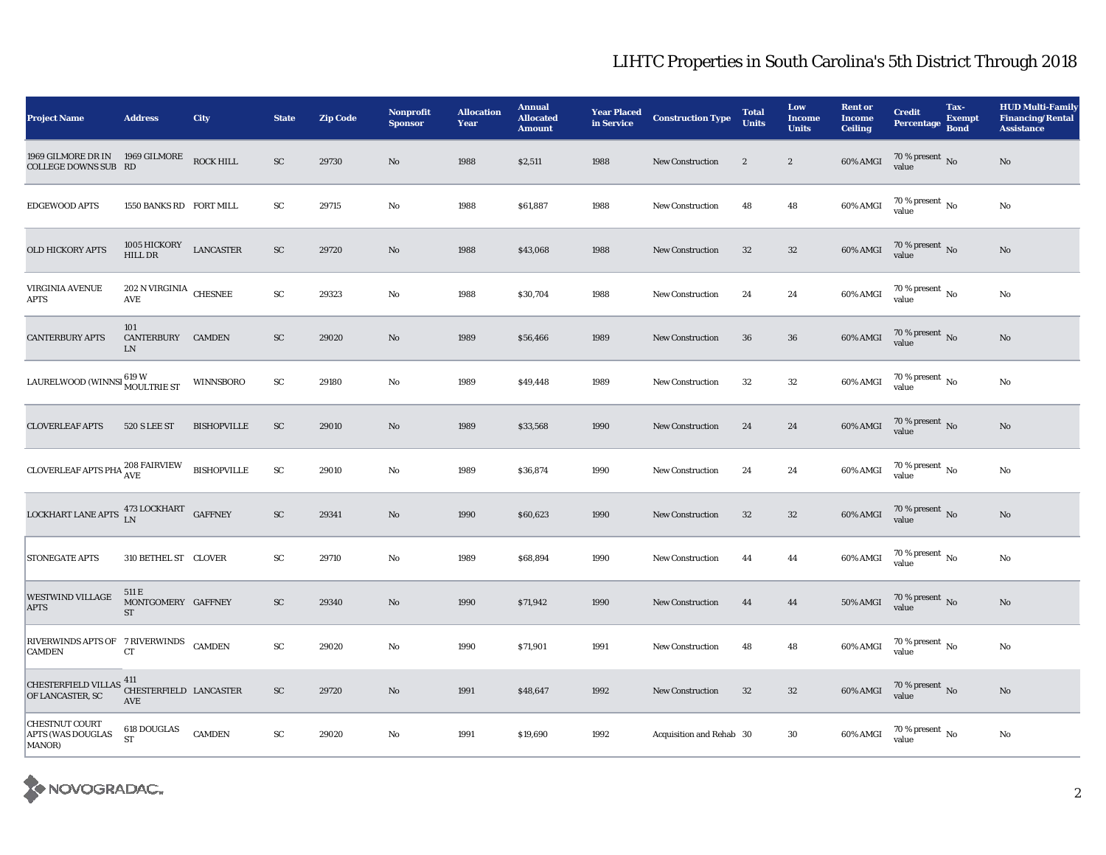| <b>Project Name</b>                                                                            | <b>Address</b>                       | <b>City</b>        | <b>State</b>        | <b>Zip Code</b> | Nonprofit<br><b>Sponsor</b> | <b>Allocation</b><br>Year | <b>Annual</b><br><b>Allocated</b><br><b>Amount</b> | <b>Year Placed</b><br>in Service | <b>Construction Type</b> | <b>Total</b><br><b>Units</b> | Low<br><b>Income</b><br><b>Units</b> | <b>Rent or</b><br><b>Income</b><br><b>Ceiling</b> | <b>Credit</b><br>Percentage Bond   | Tax-<br><b>Exempt</b> | <b>HUD Multi-Family</b><br><b>Financing/Rental</b><br><b>Assistance</b> |
|------------------------------------------------------------------------------------------------|--------------------------------------|--------------------|---------------------|-----------------|-----------------------------|---------------------------|----------------------------------------------------|----------------------------------|--------------------------|------------------------------|--------------------------------------|---------------------------------------------------|------------------------------------|-----------------------|-------------------------------------------------------------------------|
| 1969 GILMORE DR IN<br>COLLEGE DOWNS SUB RD                                                     | $1969~\mathrm{GLMORE}$               | <b>ROCK HILL</b>   | ${\rm SC}$          | 29730           | No                          | 1988                      | \$2,511                                            | 1988                             | <b>New Construction</b>  | $\overline{2}$               | $\boldsymbol{2}$                     | 60% AMGI                                          | $70\,\%$ present $\,$ No value     |                       | $\rm No$                                                                |
| <b>EDGEWOOD APTS</b>                                                                           | 1550 BANKS RD FORT MILL              |                    | SC                  | 29715           | No                          | 1988                      | \$61,887                                           | 1988                             | <b>New Construction</b>  | 48                           | 48                                   | 60% AMGI                                          | 70 % present $\,$ No $\,$<br>value |                       | $\rm No$                                                                |
| <b>OLD HICKORY APTS</b>                                                                        | 1005 HICKORY<br>HILL DR              | <b>LANCASTER</b>   | ${\rm SC}$          | 29720           | No                          | 1988                      | \$43,068                                           | 1988                             | <b>New Construction</b>  | 32                           | $32\,$                               | 60% AMGI                                          | $70\,\%$ present $_{\rm{No}}$      |                       | $\mathbf{N}\mathbf{o}$                                                  |
| <b>VIRGINIA AVENUE</b><br>APTS                                                                 | $202$ N VIRGINIA $\,$ CHESNEE<br>AVE |                    | $\operatorname{SC}$ | 29323           | No                          | 1988                      | \$30,704                                           | 1988                             | <b>New Construction</b>  | $\bf 24$                     | 24                                   | $60\%$ AMGI                                       | 70 % present $\,$ No $\,$<br>value |                       | $\rm No$                                                                |
| <b>CANTERBURY APTS</b>                                                                         | 101<br>CANTERBURY CAMDEN<br>LN       |                    | SC                  | 29020           | No                          | 1989                      | \$56,466                                           | 1989                             | <b>New Construction</b>  | 36                           | 36                                   | 60% AMGI                                          | $70\,\%$ present $\,$ No value     |                       | No                                                                      |
| LAURELWOOD (WINNSI 619 W<br>MOULTRIE ST                                                        |                                      | WINNSBORO          | ${\bf SC}$          | 29180           | No                          | 1989                      | \$49,448                                           | 1989                             | <b>New Construction</b>  | $32\,$                       | $32\,$                               | 60% AMGI                                          | 70 % present $\,$ No $\,$<br>value |                       | $\rm No$                                                                |
| <b>CLOVERLEAF APTS</b>                                                                         | <b>520 S LEE ST</b>                  | <b>BISHOPVILLE</b> | ${\rm SC}$          | 29010           | No                          | 1989                      | \$33,568                                           | 1990                             | <b>New Construction</b>  | 24                           | 24                                   | 60% AMGI                                          | $70\,\%$ present $\,$ No value     |                       | $\rm No$                                                                |
| CLOVERLEAF APTS PHA $^{208}_{\rm{AVE}}$ FAIRVIEW                                               |                                      | <b>BISHOPVILLE</b> | ${\rm SC}$          | 29010           | No                          | 1989                      | \$36,874                                           | 1990                             | <b>New Construction</b>  | 24                           | 24                                   | 60% AMGI                                          | $70\%$ present No<br>value         |                       | $\rm No$                                                                |
| LOCKHART LANE APTS $\begin{array}{cc} 473 \, \text{LOCKHART} \\ \text{LN} \end{array}$ GAFFNEY |                                      |                    | ${\rm SC}$          | 29341           | No                          | 1990                      | \$60,623                                           | 1990                             | <b>New Construction</b>  | 32                           | $32\,$                               | 60% AMGI                                          | $70\,\%$ present $\,$ No value     |                       | $\rm No$                                                                |
| <b>STONEGATE APTS</b>                                                                          | 310 BETHEL ST CLOVER                 |                    | ${\rm SC}$          | 29710           | No                          | 1989                      | \$68,894                                           | 1990                             | <b>New Construction</b>  | 44                           | 44                                   | 60% AMGI                                          | $70\,\%$ present $_{\rm{No}}$      |                       | $\rm No$                                                                |
| WESTWIND VILLAGE<br><b>APTS</b>                                                                | 511 E<br>MONTGOMERY GAFFNEY<br>ST    |                    | ${\rm SC}$          | 29340           | No                          | 1990                      | \$71,942                                           | 1990                             | <b>New Construction</b>  | 44                           | 44                                   | <b>50% AMGI</b>                                   | $70\,\%$ present $\,$ No value     |                       | $\rm No$                                                                |
| RIVERWINDS APTS OF 7 RIVERWINDS<br><b>CAMDEN</b>                                               | ${\rm CT}$                           | <b>CAMDEN</b>      | ${\rm SC}$          | 29020           | No                          | 1990                      | \$71,901                                           | 1991                             | <b>New Construction</b>  | 48                           | 48                                   | 60% AMGI                                          | $70\%$ present No<br>value         |                       | $\rm No$                                                                |
| CHESTERFIELD VILLAS 411<br>OE LANCASTER SC CHESTERFIELD LANCASTER<br>OF LANCASTER, SC          | AVE                                  |                    | ${\rm SC}$          | 29720           | No                          | 1991                      | \$48,647                                           | 1992                             | New Construction         | 32                           | $32\phantom{.0}$                     | 60% AMGI                                          | $70\,\%$ present $\,$ No value     |                       | $\rm No$                                                                |
| <b>CHESTNUT COURT</b><br>APTS (WAS DOUGLAS<br>MANOR)                                           | $618$ DOUGLAS<br><b>ST</b>           | <b>CAMDEN</b>      | ${\rm SC}$          | 29020           | No                          | 1991                      | \$19,690                                           | 1992                             | Acquisition and Rehab 30 |                              | 30                                   | 60% AMGI                                          | 70 % present $\,$ No $\,$<br>value |                       | No                                                                      |

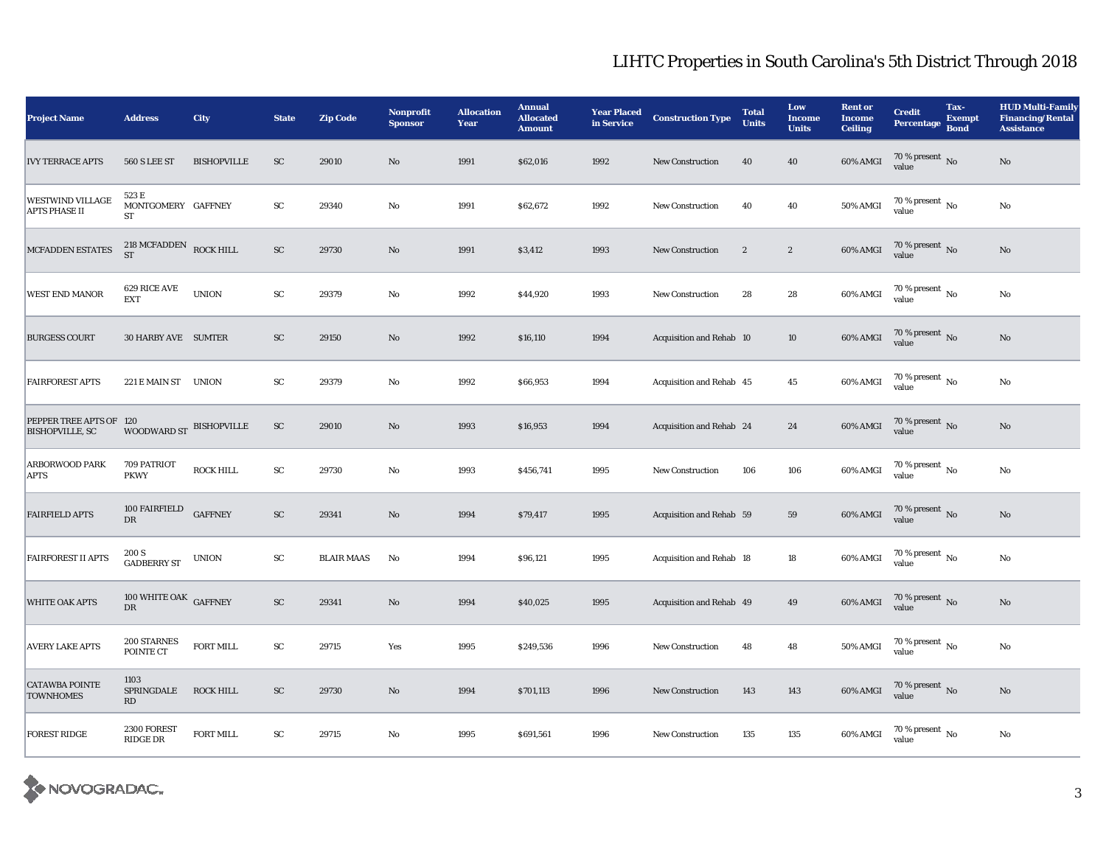| <b>Project Name</b>                             | <b>Address</b>                           | City               | <b>State</b> | <b>Zip Code</b>   | <b>Nonprofit</b><br><b>Sponsor</b> | <b>Allocation</b><br>Year | <b>Annual</b><br><b>Allocated</b><br><b>Amount</b> | <b>Year Placed</b><br>in Service | <b>Construction Type</b> | <b>Total</b><br><b>Units</b> | Low<br><b>Income</b><br><b>Units</b> | <b>Rent or</b><br><b>Income</b><br><b>Ceiling</b> | <b>Credit</b><br><b>Percentage</b>   | Tax-<br><b>Exempt</b><br><b>Bond</b> | <b>HUD Multi-Family</b><br><b>Financing/Rental</b><br><b>Assistance</b> |
|-------------------------------------------------|------------------------------------------|--------------------|--------------|-------------------|------------------------------------|---------------------------|----------------------------------------------------|----------------------------------|--------------------------|------------------------------|--------------------------------------|---------------------------------------------------|--------------------------------------|--------------------------------------|-------------------------------------------------------------------------|
| <b>IVY TERRACE APTS</b>                         | <b>560 S LEE ST</b>                      | <b>BISHOPVILLE</b> | ${\rm SC}$   | 29010             | No                                 | 1991                      | \$62,016                                           | 1992                             | <b>New Construction</b>  | 40                           | 40                                   | 60% AMGI                                          | $70\,\%$ present $\,$ No value       |                                      | $\mathbf{N}\mathbf{o}$                                                  |
| <b>WESTWIND VILLAGE</b><br><b>APTS PHASE II</b> | 523 E<br>MONTGOMERY GAFFNEY<br><b>ST</b> |                    | ${\rm SC}$   | 29340             | No                                 | 1991                      | \$62,672                                           | 1992                             | <b>New Construction</b>  | 40                           | 40                                   | <b>50% AMGI</b>                                   | 70 % present $\,$ No $\,$<br>value   |                                      | No                                                                      |
| MCFADDEN ESTATES                                | $218$ MCFADDEN ROCK HILL<br><b>ST</b>    |                    | ${\rm SC}$   | 29730             | $\mathbf{N}\mathbf{o}$             | 1991                      | \$3,412                                            | 1993                             | New Construction         | $\sqrt{2}$                   | $\sqrt{2}$                           | 60% AMGI                                          | $70\,\%$ present $_{\rm{No}}$        |                                      | $\rm No$                                                                |
| WEST END MANOR                                  | 629 RICE AVE<br><b>EXT</b>               | <b>UNION</b>       | ${\rm SC}$   | 29379             | $\rm No$                           | 1992                      | \$44,920                                           | 1993                             | <b>New Construction</b>  | 28                           | 28                                   | 60% AMGI                                          | 70 % present $\,$ No $\,$<br>value   |                                      | $\rm No$                                                                |
| <b>BURGESS COURT</b>                            | 30 HARBY AVE SUMTER                      |                    | ${\rm SC}$   | 29150             | $\mathbf{N}\mathbf{o}$             | 1992                      | \$16,110                                           | 1994                             | Acquisition and Rehab 10 |                              | 10                                   | 60% AMGI                                          | $70\,\%$ present $\,$ No value       |                                      | $\rm No$                                                                |
| <b>FAIRFOREST APTS</b>                          | 221 E MAIN ST UNION                      |                    | ${\rm SC}$   | 29379             | $\rm No$                           | 1992                      | \$66,953                                           | 1994                             | Acquisition and Rehab 45 |                              | 45                                   | 60% AMGI                                          | 70 % present $\,$ No $\,$<br>value   |                                      | $\rm No$                                                                |
| PEPPER TREE APTS OF<br><b>BISHOPVILLE, SC</b>   | 120<br>WOODWARD ST BISHOPVILLE           |                    | SC           | 29010             | No                                 | 1993                      | \$16,953                                           | 1994                             | Acquisition and Rehab 24 |                              | 24                                   | 60% AMGI                                          | $70\,\%$ present $\,$ No value       |                                      | $\mathbf{N}\mathbf{o}$                                                  |
| ARBORWOOD PARK<br><b>APTS</b>                   | 709 PATRIOT<br><b>PKWY</b>               | <b>ROCK HILL</b>   | ${\rm SC}$   | 29730             | No                                 | 1993                      | \$456,741                                          | 1995                             | <b>New Construction</b>  | 106                          | 106                                  | 60% AMGI                                          | 70 % present $\,$ No $\,$<br>value   |                                      | No                                                                      |
| <b>FAIRFIELD APTS</b>                           | 100 FAIRFIELD<br>$_{\rm DR}$             | <b>GAFFNEY</b>     | ${\rm SC}$   | 29341             | $\mathbf{N}\mathbf{o}$             | 1994                      | \$79,417                                           | 1995                             | Acquisition and Rehab 59 |                              | 59                                   | 60% AMGI                                          | $70\,\%$ present $\,$ No value       |                                      | $\mathbf{N}\mathbf{o}$                                                  |
| <b>FAIRFOREST II APTS</b>                       | 200 S<br><b>GADBERRY ST</b>              | <b>UNION</b>       | ${\rm SC}$   | <b>BLAIR MAAS</b> | No                                 | 1994                      | \$96,121                                           | 1995                             | Acquisition and Rehab 18 |                              | 18                                   | 60% AMGI                                          | 70 % present $\hbox{~No}$<br>value   |                                      | $\rm No$                                                                |
| <b>WHITE OAK APTS</b>                           | 100 WHITE OAK GAFFNEY<br>$_{\rm DR}$     |                    | ${\rm SC}$   | 29341             | $\rm No$                           | 1994                      | \$40,025                                           | 1995                             | Acquisition and Rehab 49 |                              | 49                                   | 60% AMGI                                          | $70\,\%$ present $\,$ No value       |                                      | $\rm No$                                                                |
| <b>AVERY LAKE APTS</b>                          | 200 STARNES<br>POINTE CT                 | <b>FORT MILL</b>   | SC           | 29715             | Yes                                | 1995                      | \$249,536                                          | 1996                             | <b>New Construction</b>  | 48                           | 48                                   | <b>50% AMGI</b>                                   | 70 % present $\,$ No $\,$<br>value   |                                      | No                                                                      |
| <b>CATAWBA POINTE</b><br><b>TOWNHOMES</b>       | 1103<br>SPRINGDALE<br>RD                 | <b>ROCK HILL</b>   | SC           | 29730             | $\mathbf{N}\mathbf{o}$             | 1994                      | \$701,113                                          | 1996                             | <b>New Construction</b>  | 143                          | 143                                  | 60% AMGI                                          | $70\,\%$ present $\,$ No value       |                                      | $\mathbf{N}\mathbf{o}$                                                  |
| <b>FOREST RIDGE</b>                             | 2300 FOREST<br>RIDGE DR                  | <b>FORT MILL</b>   | ${\rm SC}$   | 29715             | No                                 | 1995                      | \$691,561                                          | 1996                             | <b>New Construction</b>  | 135                          | 135                                  | $60\%$ AMGI                                       | $70$ % present $\,$ No $\,$<br>value |                                      | $\rm No$                                                                |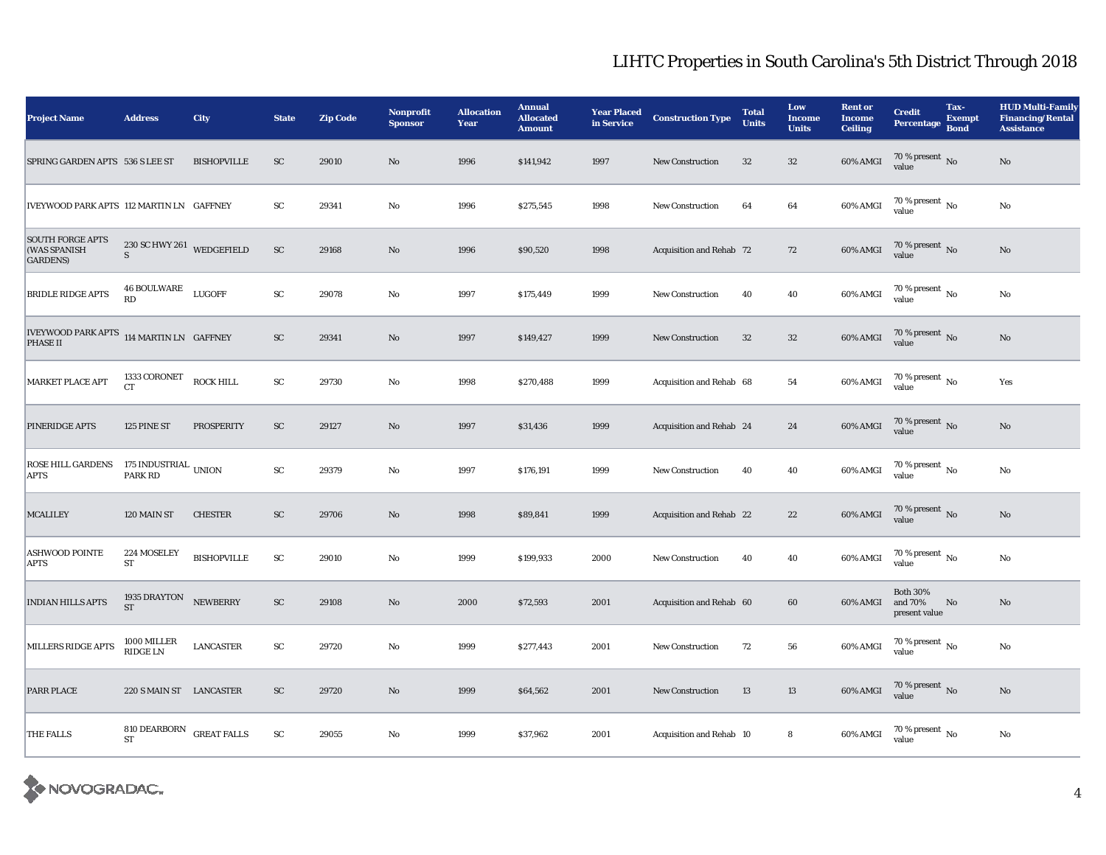| <b>Project Name</b>                                         | <b>Address</b>                  | City               | <b>State</b>               | <b>Zip Code</b> | <b>Nonprofit</b><br><b>Sponsor</b> | <b>Allocation</b><br>Year | <b>Annual</b><br><b>Allocated</b><br><b>Amount</b> | <b>Year Placed</b><br>in Service | <b>Construction Type</b> | <b>Total</b><br><b>Units</b> | Low<br><b>Income</b><br><b>Units</b> | <b>Rent or</b><br><b>Income</b><br><b>Ceiling</b> | <b>Credit</b><br><b>Percentage</b>          | Tax-<br><b>Exempt</b><br><b>Bond</b> | <b>HUD Multi-Family</b><br><b>Financing/Rental</b><br><b>Assistance</b> |
|-------------------------------------------------------------|---------------------------------|--------------------|----------------------------|-----------------|------------------------------------|---------------------------|----------------------------------------------------|----------------------------------|--------------------------|------------------------------|--------------------------------------|---------------------------------------------------|---------------------------------------------|--------------------------------------|-------------------------------------------------------------------------|
| SPRING GARDEN APTS 536 S LEE ST                             |                                 | <b>BISHOPVILLE</b> | SC                         | 29010           | $\mathbf{N}\mathbf{o}$             | 1996                      | \$141,942                                          | 1997                             | New Construction         | 32                           | 32                                   | 60% AMGI                                          | $70\,\%$ present $\,$ No value              |                                      | $\rm No$                                                                |
| IVEYWOOD PARK APTS 112 MARTIN LN GAFFNEY                    |                                 |                    | ${\rm SC}$                 | 29341           | No                                 | 1996                      | \$275,545                                          | 1998                             | <b>New Construction</b>  | 64                           | 64                                   | 60% AMGI                                          | 70 % present $\,$ No $\,$<br>value          |                                      | No                                                                      |
| <b>SOUTH FORGE APTS</b><br>(WAS SPANISH<br><b>GARDENS</b> ) | 230 SC HWY 261 WEDGEFIELD<br>S  |                    | ${\rm SC}$                 | 29168           | $\mathbf{N}\mathbf{o}$             | 1996                      | \$90,520                                           | 1998                             | Acquisition and Rehab 72 |                              | 72                                   | 60% AMGI                                          | $70\,\%$ present $_{\rm No}$                |                                      | $\rm No$                                                                |
| <b>BRIDLE RIDGE APTS</b>                                    | <b>46 BOULWARE</b><br><b>RD</b> | <b>LUGOFF</b>      | ${\rm SC}$                 | 29078           | No                                 | 1997                      | \$175,449                                          | 1999                             | <b>New Construction</b>  | 40                           | 40                                   | 60% AMGI                                          | 70 % present $\,$ No $\,$<br>value          |                                      | $\rm No$                                                                |
| IVEYWOOD PARK APTS 114 MARTIN LN GAFFNEY<br><b>PHASE II</b> |                                 |                    | $\ensuremath{\mathsf{SC}}$ | 29341           | No                                 | 1997                      | \$149,427                                          | 1999                             | <b>New Construction</b>  | 32                           | $32\,$                               | 60% AMGI                                          | $70\,\%$ present $\,$ No value              |                                      | No                                                                      |
| <b>MARKET PLACE APT</b>                                     | 1333 CORONET<br><b>CT</b>       | <b>ROCK HILL</b>   | ${\rm SC}$                 | 29730           | No                                 | 1998                      | \$270,488                                          | 1999                             | Acquisition and Rehab 68 |                              | ${\bf 54}$                           | 60% AMGI                                          | 70 % present $\,$ No $\,$<br>value          |                                      | Yes                                                                     |
| <b>PINERIDGE APTS</b>                                       | 125 PINE ST                     | <b>PROSPERITY</b>  | ${\rm SC}$                 | 29127           | No                                 | 1997                      | \$31,436                                           | 1999                             | Acquisition and Rehab 24 |                              | 24                                   | 60% AMGI                                          | $70\,\%$ present $\,$ No value              |                                      | $\rm No$                                                                |
| ROSE HILL GARDENS<br><b>APTS</b>                            | 175 INDUSTRIAL UNION<br>PARK RD |                    | ${\rm SC}$                 | 29379           | No                                 | 1997                      | \$176,191                                          | 1999                             | <b>New Construction</b>  | 40                           | 40                                   | 60% AMGI                                          | $70\,\%$ present $\,$ No $\,$<br>value      |                                      | $\rm No$                                                                |
| <b>MCALILEY</b>                                             | 120 MAIN ST                     | <b>CHESTER</b>     | ${\rm SC}$                 | 29706           | $\mathbf{N}\mathbf{o}$             | 1998                      | \$89,841                                           | 1999                             | Acquisition and Rehab 22 |                              | 22                                   | $60\%$ AMGI                                       | $70\,\%$ present $\,$ No value              |                                      | $\rm No$                                                                |
| ASHWOOD POINTE<br><b>APTS</b>                               | 224 MOSELEY<br><b>ST</b>        | <b>BISHOPVILLE</b> | ${\bf SC}$                 | 29010           | No                                 | 1999                      | \$199,933                                          | 2000                             | <b>New Construction</b>  | 40                           | 40                                   | 60% AMGI                                          | 70 % present $\hbox{~No}$<br>value          |                                      | $\rm No$                                                                |
| <b>INDIAN HILLS APTS</b>                                    | 1935 DRAYTON<br>${\rm ST}$      | NEWBERRY           | ${\rm SC}$                 | 29108           | $\mathbf{N}\mathbf{o}$             | 2000                      | \$72,593                                           | 2001                             | Acquisition and Rehab 60 |                              | 60                                   | 60% AMGI                                          | <b>Both 30%</b><br>and 70%<br>present value | No                                   | $\rm No$                                                                |
| MILLERS RIDGE APTS                                          | 1000 MILLER<br><b>RIDGE LN</b>  | LANCASTER          | ${\rm sc}$                 | 29720           | No                                 | 1999                      | \$277,443                                          | 2001                             | <b>New Construction</b>  | 72                           | 56                                   | 60% AMGI                                          | 70 % present $\,$ No $\,$<br>value          |                                      | $\rm No$                                                                |
| <b>PARR PLACE</b>                                           | 220 S MAIN ST LANCASTER         |                    | ${\rm SC}$                 | 29720           | No                                 | 1999                      | \$64,562                                           | 2001                             | New Construction         | 13                           | 13                                   | 60% AMGI                                          | $70\,\%$ present $\,$ No value              |                                      | $\rm No$                                                                |
| <b>THE FALLS</b>                                            | 810 DEARBORN<br><b>ST</b>       | <b>GREAT FALLS</b> | ${\rm SC}$                 | 29055           | No                                 | 1999                      | \$37,962                                           | 2001                             | Acquisition and Rehab 10 |                              | 8                                    | 60% AMGI                                          | 70 % present $\,$ No $\,$<br>value          |                                      | $\rm No$                                                                |

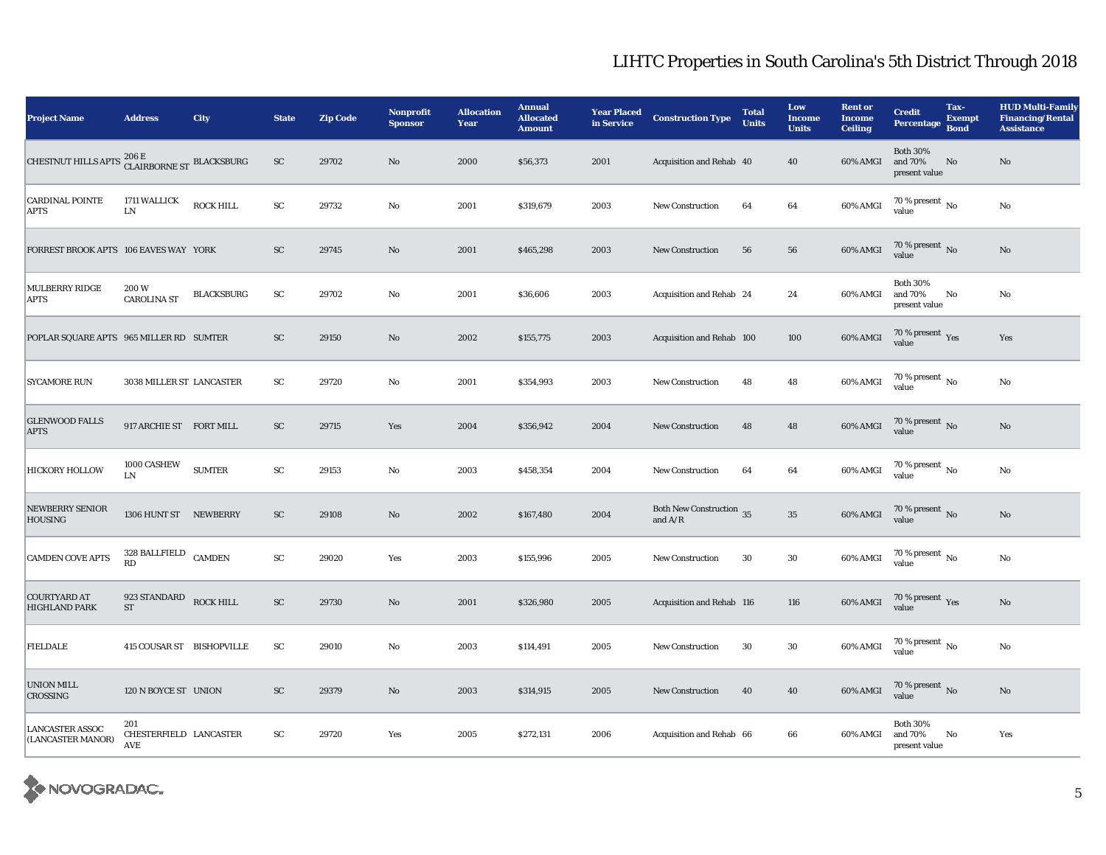| <b>Project Name</b>                                                 | <b>Address</b>                       | <b>City</b>       | <b>State</b>  | <b>Zip Code</b> | Nonprofit<br><b>Sponsor</b> | <b>Allocation</b><br>Year | <b>Annual</b><br><b>Allocated</b><br><b>Amount</b> | <b>Year Placed</b><br>in Service | <b>Construction Type</b>                                | <b>Total</b><br><b>Units</b> | Low<br><b>Income</b><br><b>Units</b> | <b>Rent or</b><br><b>Income</b><br><b>Ceiling</b> | <b>Credit</b><br><b>Percentage</b>          | Tax-<br><b>Exempt</b><br><b>Bond</b> | <b>HUD Multi-Family</b><br><b>Financing/Rental</b><br><b>Assistance</b> |
|---------------------------------------------------------------------|--------------------------------------|-------------------|---------------|-----------------|-----------------------------|---------------------------|----------------------------------------------------|----------------------------------|---------------------------------------------------------|------------------------------|--------------------------------------|---------------------------------------------------|---------------------------------------------|--------------------------------------|-------------------------------------------------------------------------|
| CHESTNUT HILLS APTS $^{206\,\rm E}_{\rm CLAIRBORNE\,ST}$ BLACKSBURG |                                      |                   | ${\rm SC}$    | 29702           | No                          | 2000                      | \$56,373                                           | 2001                             | Acquisition and Rehab 40                                |                              | 40                                   | 60% AMGI                                          | <b>Both 30%</b><br>and 70%<br>present value | No                                   | No                                                                      |
| <b>CARDINAL POINTE</b><br><b>APTS</b>                               | 1711 WALLICK<br>${\rm LN}$           | <b>ROCK HILL</b>  | ${\rm SC}$    | 29732           | No                          | 2001                      | \$319,679                                          | 2003                             | <b>New Construction</b>                                 | 64                           | 64                                   | 60% AMGI                                          | 70 % present $\overline{N_0}$<br>value      |                                      | $\rm No$                                                                |
| FORREST BROOK APTS 106 EAVES WAY YORK                               |                                      |                   | <b>SC</b>     | 29745           | $\mathbf{N}\mathbf{o}$      | 2001                      | \$465,298                                          | 2003                             | <b>New Construction</b>                                 | 56                           | 56                                   | <b>60% AMGI</b>                                   | $70\,\%$ present $_{\rm{No}}$               |                                      | $\mathbf{N}\mathbf{o}$                                                  |
| MULBERRY RIDGE<br><b>APTS</b>                                       | 200W<br><b>CAROLINA ST</b>           | <b>BLACKSBURG</b> | SC            | 29702           | No                          | 2001                      | \$36,606                                           | 2003                             | Acquisition and Rehab 24                                |                              | 24                                   | 60% AMGI                                          | <b>Both 30%</b><br>and 70%<br>present value | No                                   | No                                                                      |
| POPLAR SQUARE APTS 965 MILLER RD SUMTER                             |                                      |                   | <b>SC</b>     | 29150           | $\mathbf{N}\mathbf{o}$      | 2002                      | \$155,775                                          | 2003                             | Acquisition and Rehab 100                               |                              | 100                                  | 60% AMGI                                          | $70\,\%$ present $\,\mathrm{Yes}$ value     |                                      | Yes                                                                     |
| <b>SYCAMORE RUN</b>                                                 | 3038 MILLER ST LANCASTER             |                   | SC            | 29720           | No                          | 2001                      | \$354,993                                          | 2003                             | <b>New Construction</b>                                 | 48                           | 48                                   | 60% AMGI                                          | 70 % present $\,$ No $\,$<br>value          |                                      | $\rm No$                                                                |
| <b>GLENWOOD FALLS</b><br><b>APTS</b>                                | 917 ARCHIE ST FORT MILL              |                   | ${\rm SC}$    | 29715           | Yes                         | 2004                      | \$356,942                                          | 2004                             | <b>New Construction</b>                                 | 48                           | 48                                   | <b>60% AMGI</b>                                   | $70\,\%$ present $\,$ No value              |                                      | $\rm No$                                                                |
| <b>HICKORY HOLLOW</b>                                               | 1000 CASHEW<br>LN                    | <b>SUMTER</b>     | ${\rm SC}$    | 29153           | No                          | 2003                      | \$458,354                                          | 2004                             | <b>New Construction</b>                                 | 64                           | 64                                   | 60% AMGI                                          | 70 % present $\,$ No $\,$<br>value          |                                      | No                                                                      |
| <b>NEWBERRY SENIOR</b><br><b>HOUSING</b>                            | 1306 HUNT ST NEWBERRY                |                   | $\mathbf{SC}$ | 29108           | No                          | 2002                      | \$167,480                                          | 2004                             | Both New Construction 35<br>and $\mathrm{A}/\mathrm{R}$ |                              | $35\,$                               | 60% AMGI                                          | $70\,\%$ present $\,$ No value              |                                      | $\rm No$                                                                |
| <b>CAMDEN COVE APTS</b>                                             | 328 BALLFIELD<br>RD                  | <b>CAMDEN</b>     | ${\rm SC}$    | 29020           | Yes                         | 2003                      | \$155,996                                          | 2005                             | <b>New Construction</b>                                 | 30                           | 30                                   | 60% AMGI                                          | 70 % present $\hbox{~No}$<br>value          |                                      | $\rm No$                                                                |
| <b>COURTYARD AT</b><br><b>HIGHLAND PARK</b>                         | 923 STANDARD<br>$\operatorname{ST}$  | <b>ROCK HILL</b>  | ${\rm SC}$    | 29730           | No                          | 2001                      | \$326,980                                          | 2005                             | Acquisition and Rehab 116                               |                              | 116                                  | 60% AMGI                                          | $70\,\%$ present $\,$ Yes value             |                                      | $\mathbf{N}\mathbf{o}$                                                  |
| <b>FIELDALE</b>                                                     | 415 COUSAR ST BISHOPVILLE            |                   | SC            | 29010           | No                          | 2003                      | \$114,491                                          | 2005                             | <b>New Construction</b>                                 | 30                           | 30                                   | 60% AMGI                                          | 70 % present $\,$ No $\,$<br>value          |                                      | $\mathbf{N}\mathbf{o}$                                                  |
| <b>UNION MILL</b><br><b>CROSSING</b>                                | 120 N BOYCE ST UNION                 |                   | ${\rm SC}$    | 29379           | No                          | 2003                      | \$314,915                                          | 2005                             | <b>New Construction</b>                                 | 40                           | 40                                   | 60% AMGI                                          | 70 % present $\,$ No $\,$<br>value          |                                      | $\rm No$                                                                |
| <b>LANCASTER ASSOC</b><br>(LANCASTER MANOR)                         | 201<br>CHESTERFIELD LANCASTER<br>AVE |                   | ${\rm SC}$    | 29720           | Yes                         | 2005                      | \$272,131                                          | 2006                             | Acquisition and Rehab 66                                |                              | 66                                   | 60% AMGI                                          | <b>Both 30%</b><br>and 70%<br>present value | No                                   | Yes                                                                     |

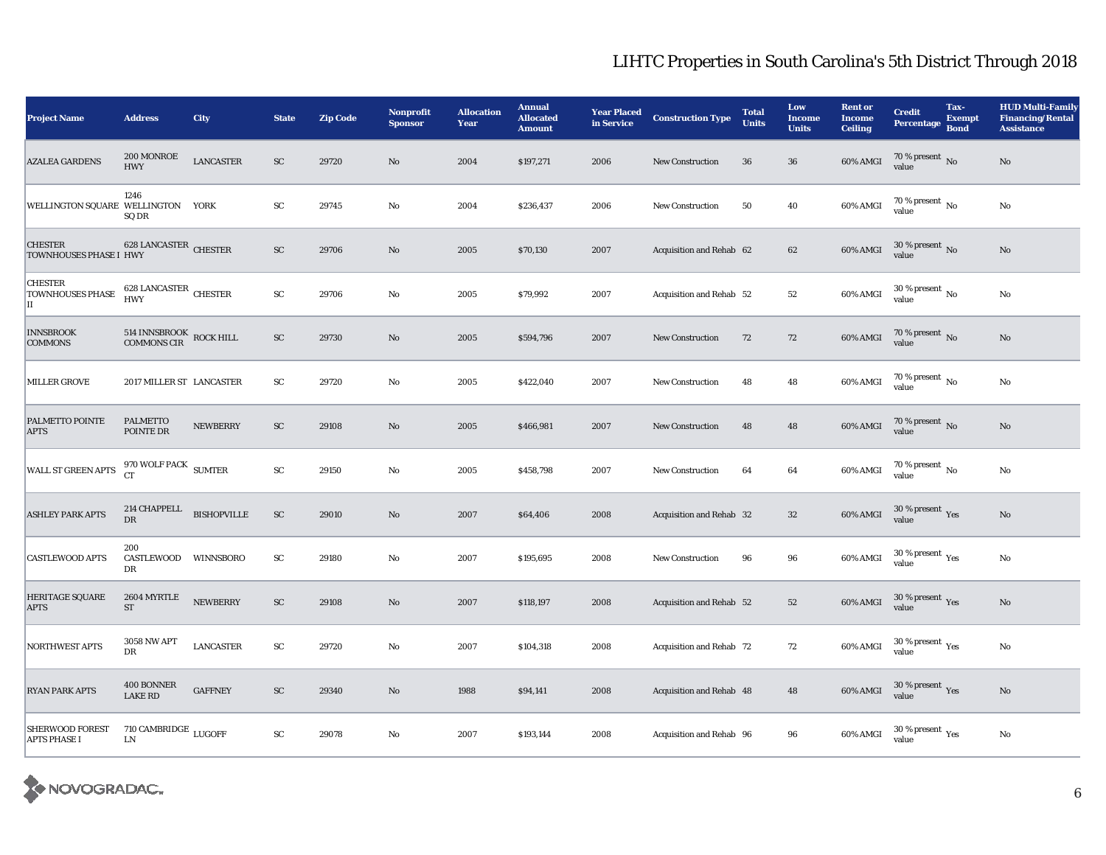| <b>Project Name</b>                            | <b>Address</b>                           | City             | <b>State</b> | <b>Zip Code</b> | Nonprofit<br><b>Sponsor</b> | <b>Allocation</b><br>Year | <b>Annual</b><br><b>Allocated</b><br><b>Amount</b> | <b>Year Placed</b><br>in Service | <b>Construction Type</b> | <b>Total</b><br><b>Units</b> | Low<br><b>Income</b><br><b>Units</b> | <b>Rent or</b><br><b>Income</b><br><b>Ceiling</b> | <b>Credit</b><br><b>Percentage</b>      | Tax-<br><b>Exempt</b><br><b>Bond</b> | <b>HUD Multi-Family</b><br><b>Financing/Rental</b><br><b>Assistance</b> |
|------------------------------------------------|------------------------------------------|------------------|--------------|-----------------|-----------------------------|---------------------------|----------------------------------------------------|----------------------------------|--------------------------|------------------------------|--------------------------------------|---------------------------------------------------|-----------------------------------------|--------------------------------------|-------------------------------------------------------------------------|
| <b>AZALEA GARDENS</b>                          | 200 MONROE<br><b>HWY</b>                 | <b>LANCASTER</b> | SC           | 29720           | No                          | 2004                      | \$197,271                                          | 2006                             | <b>New Construction</b>  | 36                           | 36                                   | 60% AMGI                                          | $70\,\%$ present $\,$ No value          |                                      | No                                                                      |
| WELLINGTON SQUARE WELLINGTON YORK              | 1246<br>SQ DR                            |                  | ${\rm SC}$   | 29745           | No                          | 2004                      | \$236,437                                          | 2006                             | <b>New Construction</b>  | 50                           | 40                                   | 60% AMGI                                          | 70 % present $\,$ No $\,$<br>value      |                                      | $\rm No$                                                                |
| <b>CHESTER</b><br>TOWNHOUSES PHASE I HWY       | 628 LANCASTER CHESTER                    |                  | ${\rm SC}$   | 29706           | $\rm No$                    | 2005                      | \$70,130                                           | 2007                             | Acquisition and Rehab 62 |                              | 62                                   | 60% AMGI                                          | $30\,\%$ present $\,$ No value          |                                      | $\rm No$                                                                |
| <b>CHESTER</b><br><b>TOWNHOUSES PHASE</b><br>Ш | 628 LANCASTER CHESTER<br><b>HWY</b>      |                  | ${\rm SC}$   | 29706           | No                          | 2005                      | \$79,992                                           | 2007                             | Acquisition and Rehab 52 |                              | 52                                   | 60% AMGI                                          | $30$ % present $_{\rm No}$<br>value     |                                      | No                                                                      |
| <b>INNSBROOK</b><br><b>COMMONS</b>             | 514 INNSBROOK ROCK HILL COMMONS CIR      |                  | ${\rm SC}$   | 29730           | $\mathbf{N}\mathbf{o}$      | 2005                      | \$594,796                                          | 2007                             | New Construction         | 72                           | 72                                   | 60% AMGI                                          | 70 % present $\overline{N}$ 0<br>value  |                                      | $\rm No$                                                                |
| <b>MILLER GROVE</b>                            | 2017 MILLER ST LANCASTER                 |                  | ${\rm SC}$   | 29720           | No                          | 2005                      | \$422,040                                          | 2007                             | <b>New Construction</b>  | 48                           | 48                                   | 60% AMGI                                          | 70 % present $\,$ No $\,$<br>value      |                                      | No                                                                      |
| PALMETTO POINTE<br><b>APTS</b>                 | <b>PALMETTO</b><br>POINTE DR             | <b>NEWBERRY</b>  | SC           | 29108           | No                          | 2005                      | \$466,981                                          | 2007                             | <b>New Construction</b>  | 48                           | 48                                   | 60% AMGI                                          | $70\,\%$ present $\,$ No value          |                                      | No                                                                      |
| WALL ST GREEN APTS                             | $970$ WOLF PACK $$\rm \,SUMTER$$ CT      |                  | ${\rm SC}$   | 29150           | No                          | 2005                      | \$458,798                                          | 2007                             | <b>New Construction</b>  | 64                           | 64                                   | 60% AMGI                                          | 70 % present $\,$ No $\,$<br>value      |                                      | $\rm No$                                                                |
| <b>ASHLEY PARK APTS</b>                        | $214$ CHAPPELL $\quad$ BISHOPVILLE<br>DR |                  | ${\rm SC}$   | 29010           | $\mathbf{N}\mathbf{o}$      | 2007                      | \$64,406                                           | 2008                             | Acquisition and Rehab 32 |                              | $32\,$                               | 60% AMGI                                          | $30\,\%$ present $\,\mathrm{Yes}$ value |                                      | $\rm No$                                                                |
| <b>CASTLEWOOD APTS</b>                         | 200<br>CASTLEWOOD WINNSBORO<br>DR        |                  | ${\rm SC}$   | 29180           | No                          | 2007                      | \$195,695                                          | 2008                             | <b>New Construction</b>  | 96                           | 96                                   | 60% AMGI                                          | $30$ % present $\,$ $\rm Yes$<br>value  |                                      | No                                                                      |
| <b>HERITAGE SQUARE</b><br><b>APTS</b>          | 2604 MYRTLE<br><b>ST</b>                 | <b>NEWBERRY</b>  | ${\rm SC}$   | 29108           | No                          | 2007                      | \$118,197                                          | 2008                             | Acquisition and Rehab 52 |                              | 52                                   | 60% AMGI                                          | $30\,\%$ present $\,\mathrm{Yes}$ value |                                      | $\rm No$                                                                |
| NORTHWEST APTS                                 | <b>3058 NW APT</b><br>DR                 | <b>LANCASTER</b> | ${\rm SC}$   | 29720           | No                          | 2007                      | \$104,318                                          | 2008                             | Acquisition and Rehab 72 |                              | 72                                   | 60% AMGI                                          | $30$ % present $\,$ $\rm Yes$<br>value  |                                      | $\rm No$                                                                |
| <b>RYAN PARK APTS</b>                          | 400 BONNER<br><b>LAKE RD</b>             | <b>GAFFNEY</b>   | ${\rm SC}$   | 29340           | No                          | 1988                      | \$94,141                                           | 2008                             | Acquisition and Rehab 48 |                              | 48                                   | 60% AMGI                                          | $30\,\%$ present $\,\mathrm{Yes}$ value |                                      | $\mathbf{N}\mathbf{o}$                                                  |
| <b>SHERWOOD FOREST</b><br><b>APTS PHASE I</b>  | 710 CAMBRIDGE $_{\rm LUGOFF}$<br>LN      |                  | ${\rm SC}$   | 29078           | No                          | 2007                      | \$193,144                                          | 2008                             | Acquisition and Rehab 96 |                              | 96                                   | 60% AMGI                                          | $30$ % present $\,$ $\rm Yes$<br>value  |                                      | $\rm No$                                                                |

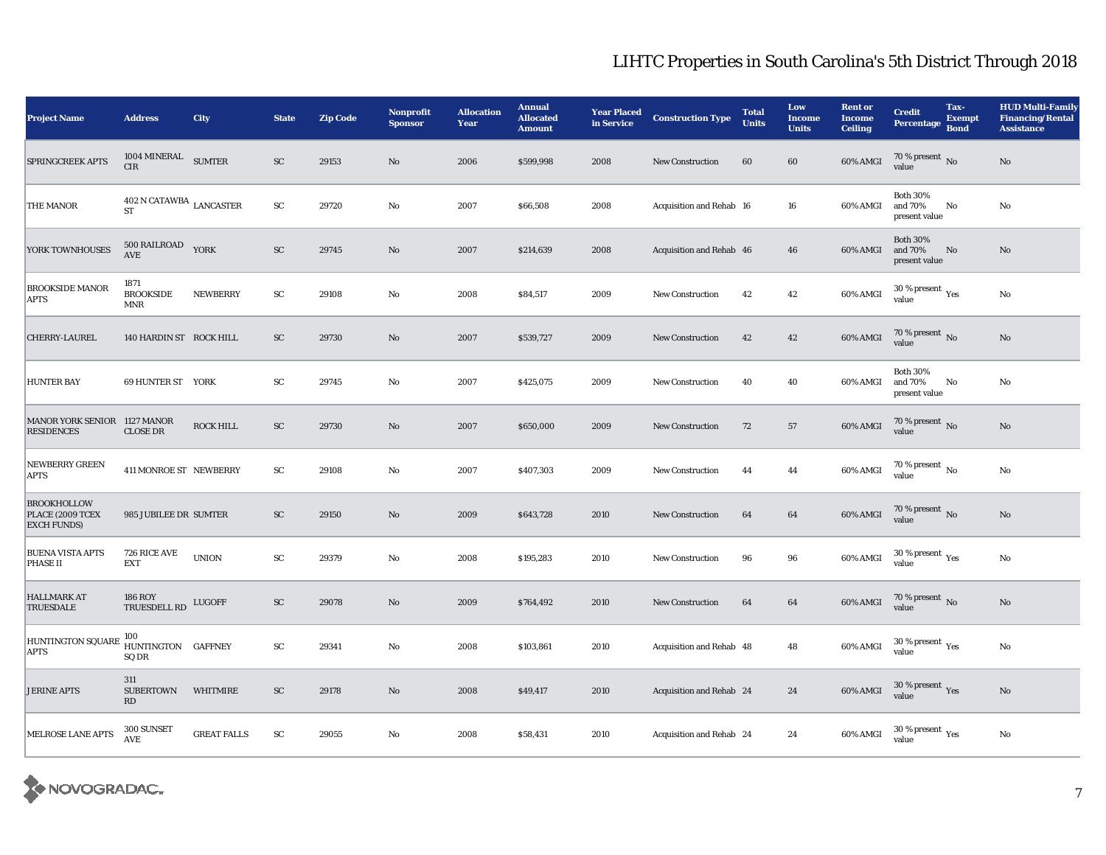| <b>Project Name</b>                                           | <b>Address</b>                                   | City               | <b>State</b> | <b>Zip Code</b> | Nonprofit<br><b>Sponsor</b> | <b>Allocation</b><br>Year | <b>Annual</b><br><b>Allocated</b><br><b>Amount</b> | <b>Year Placed</b><br>in Service | <b>Construction Type</b> | <b>Total</b><br><b>Units</b> | Low<br><b>Income</b><br><b>Units</b> | <b>Rent or</b><br><b>Income</b><br><b>Ceiling</b> | <b>Credit</b><br><b>Percentage</b>          | Tax-<br><b>Exempt</b><br><b>Bond</b> | <b>HUD Multi-Family</b><br><b>Financing/Rental</b><br><b>Assistance</b> |
|---------------------------------------------------------------|--------------------------------------------------|--------------------|--------------|-----------------|-----------------------------|---------------------------|----------------------------------------------------|----------------------------------|--------------------------|------------------------------|--------------------------------------|---------------------------------------------------|---------------------------------------------|--------------------------------------|-------------------------------------------------------------------------|
| <b>SPRINGCREEK APTS</b>                                       | 1004 MINERAL SUMTER<br><b>CIR</b>                |                    | ${\rm SC}$   | 29153           | $\mathbf{N}\mathbf{o}$      | 2006                      | \$599,998                                          | 2008                             | <b>New Construction</b>  | 60                           | 60                                   | 60% AMGI                                          | $70\,\%$ present $\,$ No value              |                                      | $\rm No$                                                                |
| THE MANOR                                                     | $402$ N CATAWBA $_{\rm LANCASTER}$<br><b>ST</b>  |                    | ${\rm SC}$   | 29720           | No                          | 2007                      | \$66,508                                           | 2008                             | Acquisition and Rehab 16 |                              | 16                                   | 60% AMGI                                          | <b>Both 30%</b><br>and 70%<br>present value | No                                   | No                                                                      |
| YORK TOWNHOUSES                                               | $500\,$ RAILROAD<br>AVE                          | YORK               | ${\rm SC}$   | 29745           | $\mathbf{N}\mathbf{o}$      | 2007                      | \$214,639                                          | 2008                             | Acquisition and Rehab 46 |                              | 46                                   | 60% AMGI                                          | <b>Both 30%</b><br>and 70%<br>present value | No                                   | $\mathbf{N}\mathbf{o}$                                                  |
| <b>BROOKSIDE MANOR</b><br><b>APTS</b>                         | 1871<br><b>BROOKSIDE</b><br>$\operatorname{MNR}$ | <b>NEWBERRY</b>    | ${\rm SC}$   | 29108           | No                          | 2008                      | \$84,517                                           | 2009                             | <b>New Construction</b>  | 42                           | 42                                   | $60\%$ AMGI                                       | $30$ % present $\,$ $\rm Yes$<br>value      |                                      | $\rm No$                                                                |
| <b>CHERRY-LAUREL</b>                                          | 140 HARDIN ST ROCK HILL                          |                    | SC           | 29730           | No                          | 2007                      | \$539,727                                          | 2009                             | <b>New Construction</b>  | 42                           | 42                                   | <b>60% AMGI</b>                                   | 70 % present $\,$ No $\,$<br>value          |                                      | No                                                                      |
| <b>HUNTER BAY</b>                                             | 69 HUNTER ST YORK                                |                    | ${\rm SC}$   | 29745           | No                          | 2007                      | \$425,075                                          | 2009                             | <b>New Construction</b>  | 40                           | 40                                   | 60% AMGI                                          | <b>Both 30%</b><br>and 70%<br>present value | No                                   | No                                                                      |
| MANOR YORK SENIOR 1127 MANOR<br><b>RESIDENCES</b>             | <b>CLOSE DR</b>                                  | ROCK HILL          | ${\rm SC}$   | 29730           | No                          | 2007                      | \$650,000                                          | 2009                             | <b>New Construction</b>  | 72                           | 57                                   | 60% AMGI                                          | $70\,\%$ present $\,$ No value              |                                      | $\mathbf{N}\mathbf{o}$                                                  |
| <b>NEWBERRY GREEN</b><br><b>APTS</b>                          | 411 MONROE ST NEWBERRY                           |                    | ${\rm SC}$   | 29108           | No                          | 2007                      | \$407,303                                          | 2009                             | <b>New Construction</b>  | 44                           | 44                                   | 60% AMGI                                          | 70 % present $\,$ No $\,$<br>value          |                                      | $\rm No$                                                                |
| <b>BROOKHOLLOW</b><br>PLACE (2009 TCEX<br><b>EXCH FUNDS</b> ) | 985 JUBILEE DR SUMTER                            |                    | ${\rm SC}$   | 29150           | $\rm No$                    | 2009                      | \$643,728                                          | 2010                             | New Construction         | 64                           | 64                                   | 60% AMGI                                          | $70\,\%$ present $\,$ No value              |                                      | $\rm No$                                                                |
| <b>BUENA VISTA APTS</b><br><b>PHASE II</b>                    | 726 RICE AVE<br><b>EXT</b>                       | <b>UNION</b>       | ${\rm SC}$   | 29379           | No                          | 2008                      | \$195,283                                          | 2010                             | <b>New Construction</b>  | 96                           | 96                                   | 60% AMGI                                          | $30$ % present $\,$ $\rm Yes$<br>value      |                                      | $\rm No$                                                                |
| <b>HALLMARK AT</b><br><b>TRUESDALE</b>                        | <b>186 ROY</b><br>TRUESDELL RD                   | LUGOFF             | ${\rm SC}$   | 29078           | No                          | 2009                      | \$764,492                                          | 2010                             | <b>New Construction</b>  | 64                           | 64                                   | $60\%$ AMGI                                       | $70\,\%$ present $\,$ No value              |                                      | $\rm No$                                                                |
| HUNTINGTON SQUARE 100<br>ADTS<br><b>APTS</b>                  | SQ DR                                            |                    | ${\rm SC}$   | 29341           | No                          | 2008                      | \$103,861                                          | 2010                             | Acquisition and Rehab 48 |                              | 48                                   | 60% AMGI                                          | 30 % present $\rm\,Yes$<br>value            |                                      | $\rm No$                                                                |
| <b>JERINE APTS</b>                                            | 311<br><b>SUBERTOWN</b><br>RD                    | <b>WHITMIRE</b>    | ${\rm SC}$   | 29178           | No                          | 2008                      | \$49,417                                           | 2010                             | Acquisition and Rehab 24 |                              | 24                                   | 60% AMGI                                          | $30\,\%$ present $\,\mathrm{Yes}$ value     |                                      | $\rm No$                                                                |
| MELROSE LANE APTS                                             | 300 SUNSET<br>AVE                                | <b>GREAT FALLS</b> | ${\rm SC}$   | 29055           | No                          | 2008                      | \$58,431                                           | 2010                             | Acquisition and Rehab 24 |                              | 24                                   | 60% AMGI                                          | 30 % present $\rm\thinspace_{Yes}$<br>value |                                      | $\mathbf{N}\mathbf{o}$                                                  |

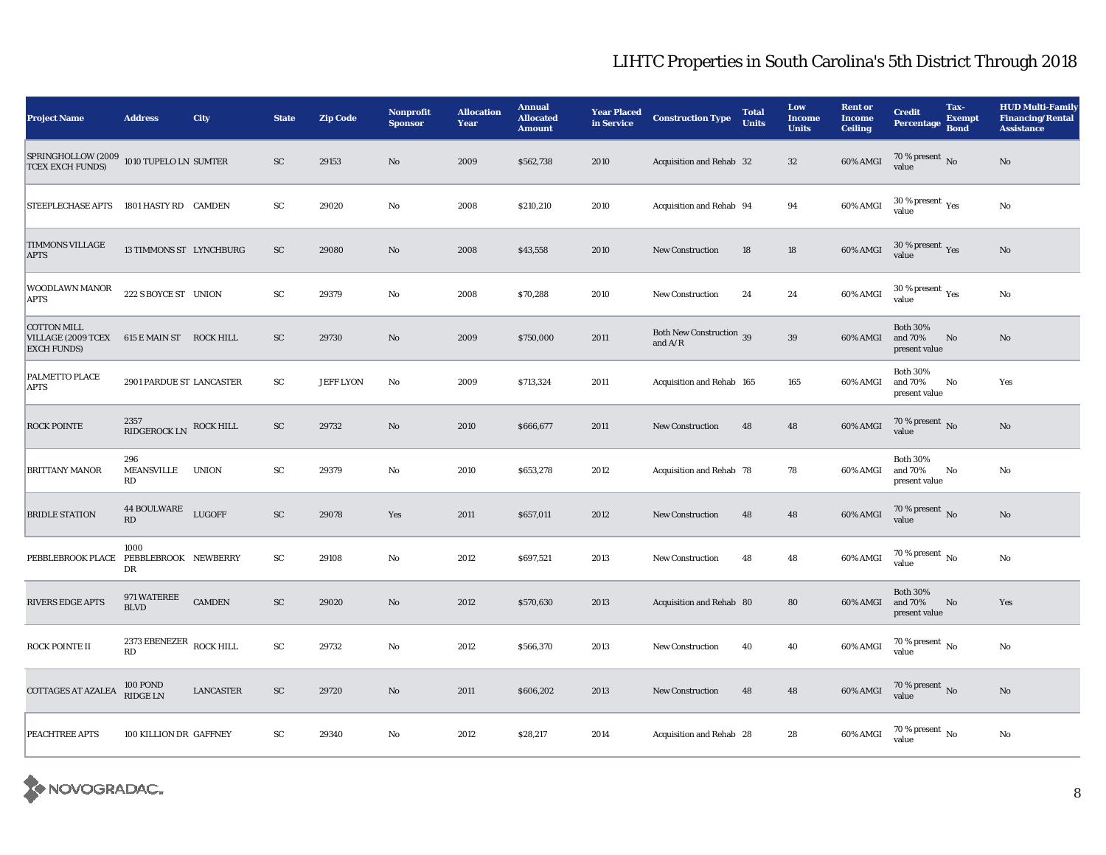| <b>Project Name</b>                                                                       | <b>Address</b>                               | City             | <b>State</b>  | <b>Zip Code</b>  | <b>Nonprofit</b><br><b>Sponsor</b> | <b>Allocation</b><br>Year | <b>Annual</b><br><b>Allocated</b><br><b>Amount</b> | <b>Year Placed</b><br>in Service | <b>Construction Type</b>              | <b>Total</b><br><b>Units</b> | Low<br><b>Income</b><br><b>Units</b> | <b>Rent or</b><br><b>Income</b><br><b>Ceiling</b> | <b>Credit</b><br><b>Percentage</b>          | Tax-<br><b>Exempt</b><br><b>Bond</b> | <b>HUD Multi-Family</b><br><b>Financing/Rental</b><br><b>Assistance</b> |
|-------------------------------------------------------------------------------------------|----------------------------------------------|------------------|---------------|------------------|------------------------------------|---------------------------|----------------------------------------------------|----------------------------------|---------------------------------------|------------------------------|--------------------------------------|---------------------------------------------------|---------------------------------------------|--------------------------------------|-------------------------------------------------------------------------|
| ${\small\texttt{SPRINGHOLLOW}}\xspace(2009 1010\text{ TUPELO LN}$ SUMTER TCEX EXCH FUNDS) |                                              |                  | $\mathbf{SC}$ | 29153            | No                                 | 2009                      | \$562,738                                          | 2010                             | Acquisition and Rehab 32              |                              | 32                                   | 60% AMGI                                          | 70 % present $\overline{N}$ 0<br>value      |                                      | No                                                                      |
| STEEPLECHASE APTS                                                                         | 1801 HASTY RD CAMDEN                         |                  | ${\rm SC}$    | 29020            | No                                 | 2008                      | \$210,210                                          | 2010                             | Acquisition and Rehab 94              |                              | 94                                   | 60% AMGI                                          | 30 % present $\rm\thinspace_{Yes}$<br>value |                                      | $\rm No$                                                                |
| TIMMONS VILLAGE<br><b>APTS</b>                                                            | 13 TIMMONS ST LYNCHBURG                      |                  | ${\rm SC}$    | 29080            | No                                 | 2008                      | \$43,558                                           | 2010                             | <b>New Construction</b>               | 18                           | 18                                   | 60% AMGI                                          | $30\,\%$ present $\,\mathrm{Yes}$ value     |                                      | No                                                                      |
| WOODLAWN MANOR<br><b>APTS</b>                                                             | 222 S BOYCE ST UNION                         |                  | ${\rm SC}$    | 29379            | No                                 | 2008                      | \$70,288                                           | 2010                             | <b>New Construction</b>               | 24                           | 24                                   | 60% AMGI                                          | 30 % present $\rm \gamma_{\rm es}$<br>value |                                      | $\rm No$                                                                |
| <b>COTTON MILL</b><br>VILLAGE (2009 TCEX 615 E MAIN ST ROCK HILL<br><b>EXCH FUNDS)</b>    |                                              |                  | ${\rm SC}$    | 29730            | No                                 | 2009                      | \$750,000                                          | 2011                             | Both New Construction 39<br>and $A/R$ |                              | 39                                   | 60% AMGI                                          | <b>Both 30%</b><br>and 70%<br>present value | No                                   | $\mathbf{N}\mathbf{o}$                                                  |
| PALMETTO PLACE<br><b>APTS</b>                                                             | 2901 PARDUE ST LANCASTER                     |                  | ${\rm SC}$    | <b>JEFF LYON</b> | $\rm No$                           | 2009                      | \$713,324                                          | 2011                             | Acquisition and Rehab 165             |                              | 165                                  | 60% AMGI                                          | <b>Both 30%</b><br>and 70%<br>present value | No                                   | Yes                                                                     |
| <b>ROCK POINTE</b>                                                                        | 2357<br>RIDGEROCK LN                         | <b>ROCK HILL</b> | ${\rm SC}$    | 29732            | $\mathbf{N}\mathbf{o}$             | 2010                      | \$666,677                                          | 2011                             | <b>New Construction</b>               | 48                           | 48                                   | 60% AMGI                                          | $70\,\%$ present $\,$ No value              |                                      | $\rm No$                                                                |
| <b>BRITTANY MANOR</b>                                                                     | 296<br>MEANSVILLE<br>RD                      | UNION            | SC            | 29379            | No                                 | 2010                      | \$653,278                                          | 2012                             | Acquisition and Rehab 78              |                              | 78                                   | 60% AMGI                                          | <b>Both 30%</b><br>and 70%<br>present value | No                                   | No                                                                      |
| <b>BRIDLE STATION</b>                                                                     | <b>44 BOULWARE</b><br>$\mathbf{R}\mathbf{D}$ | LUGOFF           | ${\rm SC}$    | 29078            | Yes                                | 2011                      | \$657,011                                          | 2012                             | <b>New Construction</b>               | 48                           | 48                                   | 60% AMGI                                          | $70\,\%$ present $\,$ No value              |                                      | $\rm No$                                                                |
| PEBBLEBROOK PLACE                                                                         | 1000<br>PEBBLEBROOK NEWBERRY<br>DR           |                  | ${\rm SC}$    | 29108            | No                                 | 2012                      | \$697,521                                          | 2013                             | <b>New Construction</b>               | 48                           | 48                                   | 60% AMGI                                          | 70 % present $\,$ No $\,$<br>value          |                                      | No                                                                      |
| <b>RIVERS EDGE APTS</b>                                                                   | 971 WATEREE<br><b>BLVD</b>                   | <b>CAMDEN</b>    | SC            | 29020            | No                                 | 2012                      | \$570,630                                          | 2013                             | Acquisition and Rehab 80              |                              | 80                                   | 60% AMGI                                          | <b>Both 30%</b><br>and 70%<br>present value | No                                   | Yes                                                                     |
| ROCK POINTE II                                                                            | 2373 EBENEZER<br>RD                          | ROCK HILL        | ${\rm SC}$    | 29732            | No                                 | 2012                      | \$566,370                                          | 2013                             | <b>New Construction</b>               | 40                           | 40                                   | 60% AMGI                                          | 70 % present $\,$ No $\,$<br>value          |                                      | $\rm No$                                                                |
| COTTAGES AT AZALEA                                                                        | <b>100 POND</b><br><b>RIDGE LN</b>           | LANCASTER        | ${\rm SC}$    | 29720            | No                                 | 2011                      | \$606,202                                          | 2013                             | <b>New Construction</b>               | 48                           | 48                                   | $60\%$ AMGI                                       | $70\,\%$ present $\,$ No value              |                                      | No                                                                      |
| PEACHTREE APTS                                                                            | 100 KILLION DR GAFFNEY                       |                  | SC            | 29340            | $\rm No$                           | 2012                      | \$28,217                                           | 2014                             | Acquisition and Rehab 28              |                              | 28                                   | 60% AMGI                                          | 70 % present $\,$ No $\,$<br>value          |                                      | No                                                                      |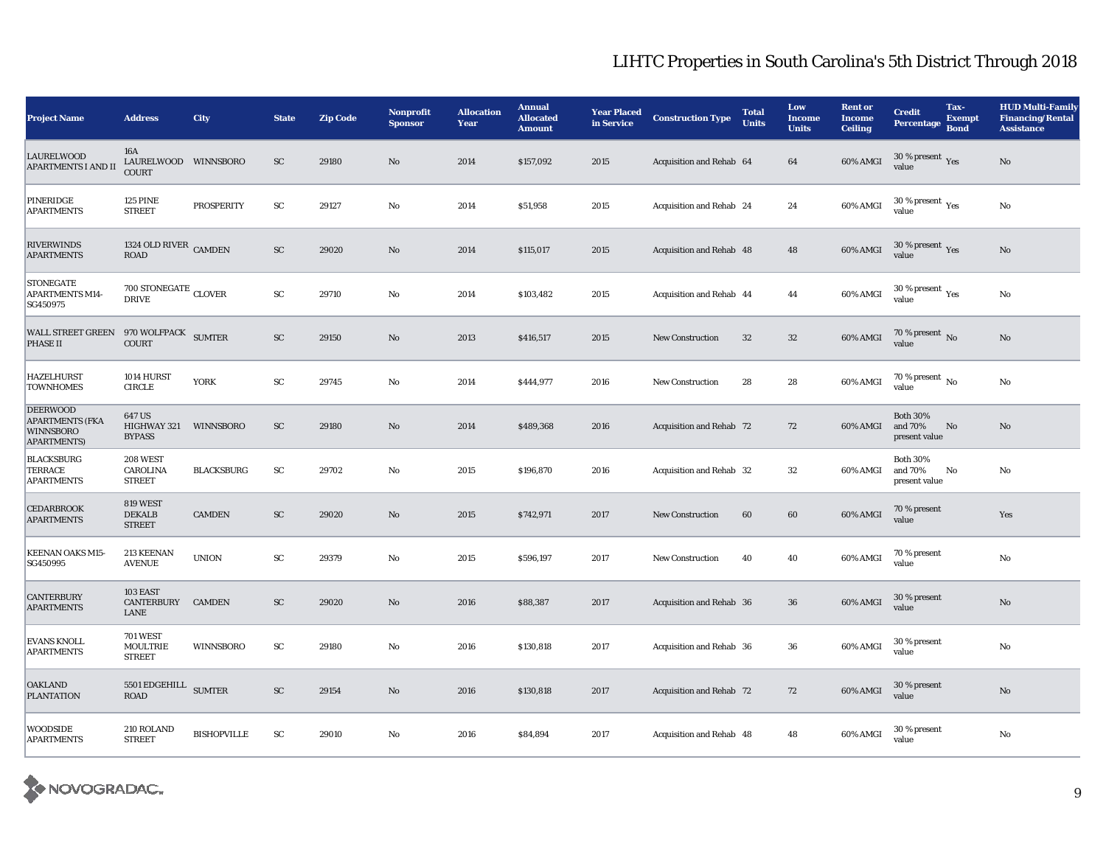| <b>Project Name</b>                                                                  | <b>Address</b>                                      | City               | <b>State</b> | <b>Zip Code</b> | <b>Nonprofit</b><br><b>Sponsor</b> | <b>Allocation</b><br>Year | <b>Annual</b><br><b>Allocated</b><br><b>Amount</b> | <b>Year Placed</b><br>in Service | <b>Construction Type</b> | <b>Total</b><br><b>Units</b> | Low<br><b>Income</b><br><b>Units</b> | <b>Rent or</b><br><b>Income</b><br><b>Ceiling</b> | <b>Credit</b><br><b>Percentage</b>          | Tax-<br><b>Exempt</b><br><b>Bond</b> | <b>HUD Multi-Family</b><br><b>Financing/Rental</b><br><b>Assistance</b> |
|--------------------------------------------------------------------------------------|-----------------------------------------------------|--------------------|--------------|-----------------|------------------------------------|---------------------------|----------------------------------------------------|----------------------------------|--------------------------|------------------------------|--------------------------------------|---------------------------------------------------|---------------------------------------------|--------------------------------------|-------------------------------------------------------------------------|
| <b>LAURELWOOD</b><br><b>APARTMENTS I AND II</b>                                      | 16A<br>LAURELWOOD WINNSBORO<br><b>COURT</b>         |                    | SC           | 29180           | No                                 | 2014                      | \$157,092                                          | 2015                             | Acquisition and Rehab 64 |                              | 64                                   | 60% AMGI                                          | 30 % present $\,$ $\rm Yes$<br>value        |                                      | No                                                                      |
| PINERIDGE<br><b>APARTMENTS</b>                                                       | <b>125 PINE</b><br><b>STREET</b>                    | PROSPERITY         | SC           | 29127           | No                                 | 2014                      | \$51,958                                           | 2015                             | Acquisition and Rehab 24 |                              | 24                                   | 60% AMGI                                          | $30$ % present $\,$ $\rm Yes$<br>value      |                                      | No                                                                      |
| <b>RIVERWINDS</b><br><b>APARTMENTS</b>                                               | 1324 OLD RIVER CAMDEN<br>ROAD                       |                    | ${\rm SC}$   | 29020           | No                                 | 2014                      | \$115,017                                          | 2015                             | Acquisition and Rehab 48 |                              | $\bf 48$                             | 60% AMGI                                          | 30 % present $\,$ Yes<br>value              |                                      | $\rm No$                                                                |
| <b>STONEGATE</b><br><b>APARTMENTS M14-</b><br>SG450975                               | $700$ STONEGATE $_{\rm CLOVER}$<br><b>DRIVE</b>     |                    | ${\rm SC}$   | 29710           | No                                 | 2014                      | \$103,482                                          | 2015                             | Acquisition and Rehab 44 |                              | 44                                   | 60% AMGI                                          | $30$ % present $\,$ $\rm Yes$<br>value      |                                      | $\rm No$                                                                |
| <b>WALL STREET GREEN</b><br>PHASE II                                                 | 970 WOLFPACK SUMTER<br><b>COURT</b>                 |                    | <b>SC</b>    | 29150           | No                                 | 2013                      | \$416,517                                          | 2015                             | <b>New Construction</b>  | 32                           | 32                                   | 60% AMGI                                          | 70 % present $\overline{N}$<br>value        |                                      | No                                                                      |
| <b>HAZELHURST</b><br><b>TOWNHOMES</b>                                                | 1014 HURST<br>$\ensuremath{\mathsf{CIRCLE}}$        | <b>YORK</b>        | ${\rm sc}$   | 29745           | No                                 | 2014                      | \$444,977                                          | 2016                             | <b>New Construction</b>  | 28                           | 28                                   | 60% AMGI                                          | 70 % present $\,$ No $\,$<br>value          |                                      | No                                                                      |
| <b>DEERWOOD</b><br><b>APARTMENTS (FKA</b><br><b>WINNSBORO</b><br><b>APARTMENTS</b> ) | 647 US<br>HIGHWAY 321<br><b>BYPASS</b>              | WINNSBORO          | <b>SC</b>    | 29180           | No                                 | 2014                      | \$489,368                                          | 2016                             | Acquisition and Rehab 72 |                              | 72                                   | 60% AMGI                                          | <b>Both 30%</b><br>and 70%<br>present value | No                                   | No                                                                      |
| <b>BLACKSBURG</b><br><b>TERRACE</b><br><b>APARTMENTS</b>                             | 208 WEST<br>CAROLINA<br><b>STREET</b>               | <b>BLACKSBURG</b>  | ${\rm sc}$   | 29702           | No                                 | 2015                      | \$196,870                                          | 2016                             | Acquisition and Rehab 32 |                              | 32                                   | 60% AMGI                                          | <b>Both 30%</b><br>and 70%<br>present value | No                                   | No                                                                      |
| <b>CEDARBROOK</b><br><b>APARTMENTS</b>                                               | 819 WEST<br><b>DEKALB</b><br><b>STREET</b>          | <b>CAMDEN</b>      | ${\rm SC}$   | 29020           | No                                 | 2015                      | \$742,971                                          | 2017                             | <b>New Construction</b>  | 60                           | 60                                   | 60% AMGI                                          | 70 % present<br>value                       |                                      | Yes                                                                     |
| <b>KEENAN OAKS M15-</b><br>SG450995                                                  | 213 KEENAN<br><b>AVENUE</b>                         | <b>UNION</b>       | ${\rm sc}$   | 29379           | No                                 | 2015                      | \$596,197                                          | 2017                             | <b>New Construction</b>  | 40                           | 40                                   | 60% AMGI                                          | 70 % present<br>value                       |                                      | $\rm No$                                                                |
| <b>CANTERBURY</b><br><b>APARTMENTS</b>                                               | 103 EAST<br>CANTERBURY CAMDEN<br>LANE               |                    | SC           | 29020           | No                                 | 2016                      | \$88,387                                           | 2017                             | Acquisition and Rehab 36 |                              | 36                                   | 60% AMGI                                          | 30 % present<br>value                       |                                      | No                                                                      |
| <b>EVANS KNOLL</b><br><b>APARTMENTS</b>                                              | <b>701 WEST</b><br><b>MOULTRIE</b><br><b>STREET</b> | WINNSBORO          | ${\rm SC}$   | 29180           | No                                 | 2016                      | \$130,818                                          | 2017                             | Acquisition and Rehab 36 |                              | 36                                   | 60% AMGI                                          | 30 % present<br>value                       |                                      | No                                                                      |
| <b>OAKLAND</b><br><b>PLANTATION</b>                                                  | 5501 EDGEHILL SUMTER<br><b>ROAD</b>                 |                    | <b>SC</b>    | 29154           | No                                 | 2016                      | \$130,818                                          | 2017                             | Acquisition and Rehab 72 |                              | 72                                   | 60% AMGI                                          | 30 % present<br>value                       |                                      | No                                                                      |
| <b>WOODSIDE</b><br><b>APARTMENTS</b>                                                 | 210 ROLAND<br><b>STREET</b>                         | <b>BISHOPVILLE</b> | ${\rm SC}$   | 29010           | No                                 | 2016                      | \$84,894                                           | 2017                             | Acquisition and Rehab 48 |                              | 48                                   | 60% AMGI                                          | 30 % present<br>value                       |                                      | $\rm No$                                                                |